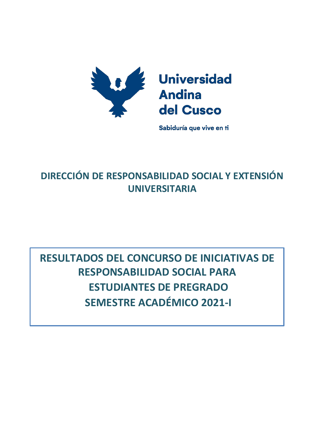

Sabiduría que vive en ti

## **DIRECCIÓN DE RESPONSABILIDAD SOCIAL Y EXTENSIÓN UNIVERSITARIA**

## **RESULTADOS DEL CONCURSO DE INICIATIVAS DE RESPONSABILIDAD SOCIAL PARA ESTUDIANTES DE PREGRADO SEMESTRE ACADÉMICO 2021-I**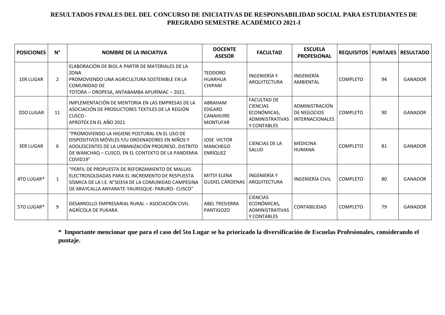## **RESULTADOS FINALES DEL DEL CONCURSO DE INICIATIVAS DE RESPONSABILIDAD SOCIAL PARA ESTUDIANTES DE PREGRADO SEMESTRE ACADÉMICO 2021-I**

| <b>POSICIONES</b> | $N^{\circ}$  | <b>NOMBRE DE LA INICIATIVA</b>                                                                                                                                                                                          | <b>DOCENTE</b><br><b>ASESOR</b>                    | <b>FACULTAD</b>                                                                               | <b>ESCUELA</b><br><b>PROFESIONAL</b>                    |                 |    | REQUISITOS   PUNTAJES   RESULTADO |
|-------------------|--------------|-------------------------------------------------------------------------------------------------------------------------------------------------------------------------------------------------------------------------|----------------------------------------------------|-----------------------------------------------------------------------------------------------|---------------------------------------------------------|-----------------|----|-----------------------------------|
| <b>1ER LUGAR</b>  | 2            | ELABORACIÓN DE BIOL A PARTIR DE MATERIALES DE LA<br><b>ZONA</b><br><b>PROMOVIENDO UNA AGRICULTURA SOSTENIBLE EN LA</b><br><b>COMUNIDAD DE</b><br>TOTORA - OROPESA, ANTABAMBA APURÍMAC - 2021.                           | <b>TEODORO</b><br><b>HUARHUA</b><br><b>CHIPANI</b> | INGENIERÍA Y<br>ARQUITECTURA                                                                  | <b>INGENIERÍA</b><br>AMBIENTAL                          | <b>COMPLETO</b> | 94 | <b>GANADOR</b>                    |
| 2DO LUGAR         | 11           | IMPLEMENTACIÓN DE MENTORIA EN LAS EMPRESAS DE LA<br>ASOCIACIÓN DE PRODUCTORES TEXTILES DE LA REGIÓN<br>CUSCO -<br>APROTEX EN EL AÑO 2021                                                                                | ABRAHAM<br>EDGARD<br>CANAHUIRE<br><b>MONTUFAR</b>  | <b>FACULTAD DE</b><br><b>CIENCIAS</b><br>ECONÓMICAS,<br><b>ADMINISTRATIVAS</b><br>Y CONTABLES | ADMINISTRACIÓN<br>DE NEGOCIOS<br><b>INTERNACIONALES</b> | <b>COMPLETO</b> | 90 | <b>GANADOR</b>                    |
| <b>3ER LUGAR</b>  | 6            | "PROMOVIENDO LA HIGIENE POSTURAL EN EL USO DE<br>DISPOSITIVOS MÓVILES Y/U ORDENADORES EN NIÑOS Y<br>ADOLESCENTES DE LA URBANIZACIÓN PROGRESO, DISTRITO<br>DE WANCHAQ - CUSCO, EN EL CONTEXTO DE LA PANDEMIA<br>COVID19" | <b>JOSE VICTOR</b><br><b>MANCHEGO</b><br>ENRÍQUEZ  | <b>CIENCIAS DE LA</b><br>SALUD                                                                | <b>MEDICINA</b><br><b>HUMANA</b>                        | <b>COMPLETO</b> | 81 | <b>GANADOR</b>                    |
| 4TO LUGAR*        | $\mathbf{1}$ | "PERFIL DE PROPUESTA DE REFORZAMIENTO DE MALLAS<br>ELECTROSOLDADAS PARA EL INCREMENTO DE RESPUESTA<br>SÍSMICA DE LA I.E. N°50354 DE LA COMUNIDAD CAMPESINA<br>DE ARAYCALLA ANYARATE-YAURISQUE- PARURO- CUSCO"           | <b>MITSY FI FNA</b><br><b>GUDIEL CÁRDENAS</b>      | INGENIFRÍA Y<br>ARQUITECTURA                                                                  | INGENIERÍA CIVIL                                        | <b>COMPLETO</b> | 80 | <b>GANADOR</b>                    |
| 5TO LUGAR*        | q            | DESARROLLO EMPRESARIAL RURAL - ASOCIACIÓN CIVIL<br>AGRÍCOLA DE PUKARA                                                                                                                                                   | <b>ABEL TRESIERRA</b><br>PANTIGOZO                 | <b>CIENCIAS</b><br>ECONÓMICAS,<br>ADMINISTRATIVAS<br>Y CONTABLES                              | CONTABILIDAD                                            | <b>COMPLETO</b> | 79 | <b>GANADOR</b>                    |

\* Importante mencionar que para el caso del 5to Lugar se ha priorizado la diversificación de Escuelas Profesionales, considerando el **puntaje.**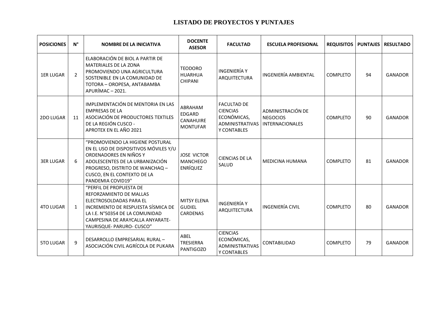## **LISTADO DE PROYECTOS Y PUNTAJES**

| <b>POSICIONES</b> | $N^{\circ}$  | <b>NOMBRE DE LA INICIATIVA</b>                                                                                                                                                                                                | <b>DOCENTE</b><br><b>ASESOR</b>                          | <b>FACULTAD</b>                                                                               | <b>ESCUELA PROFESIONAL</b>                                     |                 |    | <b>REQUISITOS   PUNTAJES   RESULTADO</b> |
|-------------------|--------------|-------------------------------------------------------------------------------------------------------------------------------------------------------------------------------------------------------------------------------|----------------------------------------------------------|-----------------------------------------------------------------------------------------------|----------------------------------------------------------------|-----------------|----|------------------------------------------|
| <b>1ER LUGAR</b>  | $\mathbf{2}$ | ELABORACIÓN DE BIOL A PARTIR DE<br><b>MATERIALES DE LA ZONA</b><br>PROMOVIENDO UNA AGRICULTURA<br>SOSTENIBLE EN LA COMUNIDAD DE<br>TOTORA - OROPESA, ANTABAMBA<br>APURÍMAC - 2021.                                            | <b>TEODORO</b><br><b>HUARHUA</b><br><b>CHIPANI</b>       | <b>INGENIERÍA Y</b><br>ARQUITECTURA                                                           | INGENIERÍA AMBIENTAL                                           | <b>COMPLETO</b> | 94 | <b>GANADOR</b>                           |
| 2DO LUGAR         | 11           | IMPLEMENTACIÓN DE MENTORIA EN LAS<br><b>EMPRESAS DE LA</b><br>ASOCIACIÓN DE PRODUCTORES TEXTILES<br>DE LA REGIÓN CUSCO -<br>APROTEX EN EL AÑO 2021                                                                            | ABRAHAM<br><b>EDGARD</b><br>CANAHUIRE<br><b>MONTUFAR</b> | <b>FACULTAD DE</b><br><b>CIENCIAS</b><br>ECONÓMICAS,<br><b>ADMINISTRATIVAS</b><br>Y CONTABLES | ADMINISTRACIÓN DE<br><b>NEGOCIOS</b><br><b>INTERNACIONALES</b> | COMPLETO        | 90 | GANADOR                                  |
| <b>3ER LUGAR</b>  | 6            | "PROMOVIENDO LA HIGIENE POSTURAL<br>EN EL USO DE DISPOSITIVOS MÓVILES Y/U<br>ORDENADORES EN NIÑOS Y<br>ADOLESCENTES DE LA URBANIZACIÓN<br>PROGRESO, DISTRITO DE WANCHAQ -<br>CUSCO, EN EL CONTEXTO DE LA<br>PANDEMIA COVID19" | <b>JOSE VICTOR</b><br><b>MANCHEGO</b><br><b>ENRÍQUEZ</b> | <b>CIENCIAS DE LA</b><br>SALUD                                                                | <b>MEDICINA HUMANA</b>                                         | <b>COMPLETO</b> | 81 | <b>GANADOR</b>                           |
| <b>4TO LUGAR</b>  | $\mathbf{1}$ | "PERFIL DE PROPUESTA DE<br>REFORZAMIENTO DE MALLAS<br>ELECTROSOLDADAS PARA EL<br>INCREMENTO DE RESPUESTA SÍSMICA DE<br>LA I.E. N°50354 DE LA COMUNIDAD<br>CAMPESINA DE ARAYCALLA ANYARATE-<br>YAURISQUE- PARURO- CUSCO"       | <b>MITSY ELENA</b><br><b>GUDIEL</b><br><b>CARDENAS</b>   | <b>INGENIERÍA Y</b><br><b>ARQUITECTURA</b>                                                    | <b>INGENIERÍA CIVIL</b>                                        | <b>COMPLETO</b> | 80 | <b>GANADOR</b>                           |
| <b>5TO LUGAR</b>  | q            | DESARROLLO EMPRESARIAL RURAL -<br>ASOCIACIÓN CIVIL AGRÍCOLA DE PUKARA                                                                                                                                                         | ABEL<br><b>TRESIERRA</b><br><b>PANTIGOZO</b>             | <b>CIENCIAS</b><br>ECONÓMICAS,<br><b>ADMINISTRATIVAS</b><br>Y CONTABLES                       | CONTABILIDAD                                                   | <b>COMPLETO</b> | 79 | GANADOR                                  |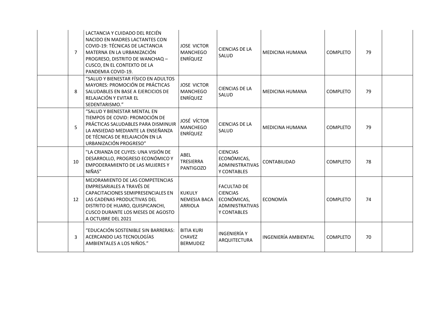| 7  | LACTANCIA Y CUIDADO DEL RECIÉN<br>NACIDO EN MADRES LACTANTES CON<br>COVID-19: TÉCNICAS DE LACTANCIA<br>MATERNA EN LA URBANIZACIÓN<br>PROGRESO, DISTRITO DE WANCHAQ -<br>CUSCO, EN EL CONTEXTO DE LA<br>PANDEMIA COVID-19.                | <b>JOSE VICTOR</b><br><b>MANCHEGO</b><br><b>ENRÍQUEZ</b> | <b>CIENCIAS DE LA</b><br>SALUD                                                                | MEDICINA HUMANA        | COMPLETO        | 79 |  |
|----|------------------------------------------------------------------------------------------------------------------------------------------------------------------------------------------------------------------------------------------|----------------------------------------------------------|-----------------------------------------------------------------------------------------------|------------------------|-----------------|----|--|
| 8  | "SALUD Y BIENESTAR FÍSICO EN ADULTOS<br><b>MAYORES: PROMOCIÓN DE PRÁCTICAS</b><br>SALUDABLES EN BASE A EJERCICIOS DE<br>RELAJACIÓN Y EVITAR EL<br>SEDENTARISMO."                                                                         | <b>JOSE VICTOR</b><br><b>MANCHEGO</b><br><b>ENRÍQUEZ</b> | <b>CIENCIAS DE LA</b><br>SALUD                                                                | <b>MEDICINA HUMANA</b> | <b>COMPLETO</b> | 79 |  |
| 5  | "SALUD Y BIENESTAR MENTAL EN<br>TIEMPOS DE COVID: PROMOCIÓN DE<br>PRÁCTICAS SALUDABLES PARA DISMINUIR<br>LA ANSIEDAD MEDIANTE LA ENSEÑANZA<br>DE TÉCNICAS DE RELAJACIÓN EN LA<br>URBANIZACIÓN PROGRESO"                                  | JOSÉ VÍCTOR<br><b>MANCHEGO</b><br><b>ENRÍQUEZ</b>        | <b>CIENCIAS DE LA</b><br>SALUD                                                                | <b>MEDICINA HUMANA</b> | <b>COMPLETO</b> | 79 |  |
| 10 | "LA CRIANZA DE CUYES: UNA VISIÓN DE<br>DESARROLLO, PROGRESO ECONÓMICO Y<br>EMPODERAMIENTO DE LAS MUJERES Y<br>NIÑAS"                                                                                                                     | ABEL<br><b>TRESIERRA</b><br><b>PANTIGOZO</b>             | <b>CIENCIAS</b><br>ECONÓMICAS,<br>ADMINISTRATIVAS<br>Y CONTABLES                              | CONTABILIDAD           | <b>COMPLETO</b> | 78 |  |
| 12 | MEJORAMIENTO DE LAS COMPETENCIAS<br>EMPRESARIALES A TRAVÉS DE<br>CAPACITACIONES SEMIPRESENCIALES EN<br>LAS CADENAS PRODUCTIVAS DEL<br>DISTRITO DE HUARO, QUISPICANCHI,<br><b>CUSCO DURANTE LOS MESES DE AGOSTO</b><br>A OCTUBRE DEL 2021 | <b>KUKULY</b><br><b>NEMESIA BACA</b><br><b>ARRIOLA</b>   | <b>FACULTAD DE</b><br><b>CIENCIAS</b><br>ECONÓMICAS,<br><b>ADMINISTRATIVAS</b><br>Y CONTABLES | ECONOMÍA               | <b>COMPLETO</b> | 74 |  |
| 3  | "EDUCACIÓN SOSTENIBLE SIN BARRERAS:<br>ACERCANDO LAS TECNOLOGÍAS<br>AMBIENTALES A LOS NIÑOS."                                                                                                                                            | <b>BITIA KURI</b><br><b>CHAVEZ</b><br><b>BERMUDEZ</b>    | <b>INGENIERÍA Y</b><br>ARQUITECTURA                                                           | INGENIERÍA AMBIENTAL   | <b>COMPLETO</b> | 70 |  |